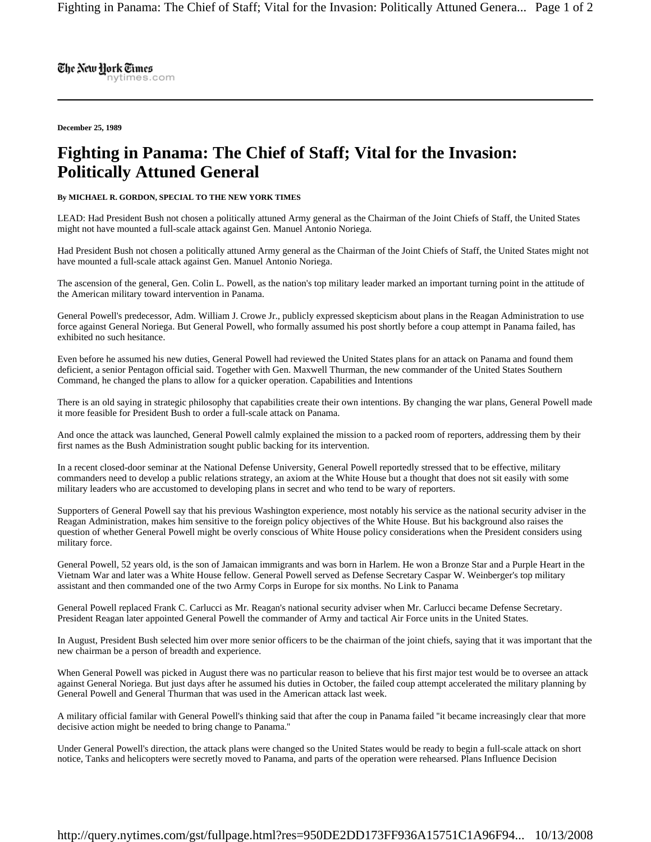The New Hork Times nytimes.com

**December 25, 1989** 

## **Fighting in Panama: The Chief of Staff; Vital for the Invasion: Politically Attuned General**

**By MICHAEL R. GORDON, SPECIAL TO THE NEW YORK TIMES** 

LEAD: Had President Bush not chosen a politically attuned Army general as the Chairman of the Joint Chiefs of Staff, the United States might not have mounted a full-scale attack against Gen. Manuel Antonio Noriega.

Had President Bush not chosen a politically attuned Army general as the Chairman of the Joint Chiefs of Staff, the United States might not have mounted a full-scale attack against Gen. Manuel Antonio Noriega.

The ascension of the general, Gen. Colin L. Powell, as the nation's top military leader marked an important turning point in the attitude of the American military toward intervention in Panama.

General Powell's predecessor, Adm. William J. Crowe Jr., publicly expressed skepticism about plans in the Reagan Administration to use force against General Noriega. But General Powell, who formally assumed his post shortly before a coup attempt in Panama failed, has exhibited no such hesitance.

Even before he assumed his new duties, General Powell had reviewed the United States plans for an attack on Panama and found them deficient, a senior Pentagon official said. Together with Gen. Maxwell Thurman, the new commander of the United States Southern Command, he changed the plans to allow for a quicker operation. Capabilities and Intentions

There is an old saying in strategic philosophy that capabilities create their own intentions. By changing the war plans, General Powell made it more feasible for President Bush to order a full-scale attack on Panama.

And once the attack was launched, General Powell calmly explained the mission to a packed room of reporters, addressing them by their first names as the Bush Administration sought public backing for its intervention.

In a recent closed-door seminar at the National Defense University, General Powell reportedly stressed that to be effective, military commanders need to develop a public relations strategy, an axiom at the White House but a thought that does not sit easily with some military leaders who are accustomed to developing plans in secret and who tend to be wary of reporters.

Supporters of General Powell say that his previous Washington experience, most notably his service as the national security adviser in the Reagan Administration, makes him sensitive to the foreign policy objectives of the White House. But his background also raises the question of whether General Powell might be overly conscious of White House policy considerations when the President considers using military force.

General Powell, 52 years old, is the son of Jamaican immigrants and was born in Harlem. He won a Bronze Star and a Purple Heart in the Vietnam War and later was a White House fellow. General Powell served as Defense Secretary Caspar W. Weinberger's top military assistant and then commanded one of the two Army Corps in Europe for six months. No Link to Panama

General Powell replaced Frank C. Carlucci as Mr. Reagan's national security adviser when Mr. Carlucci became Defense Secretary. President Reagan later appointed General Powell the commander of Army and tactical Air Force units in the United States.

In August, President Bush selected him over more senior officers to be the chairman of the joint chiefs, saying that it was important that the new chairman be a person of breadth and experience.

When General Powell was picked in August there was no particular reason to believe that his first major test would be to oversee an attack against General Noriega. But just days after he assumed his duties in October, the failed coup attempt accelerated the military planning by General Powell and General Thurman that was used in the American attack last week.

A military official familar with General Powell's thinking said that after the coup in Panama failed ''it became increasingly clear that more decisive action might be needed to bring change to Panama.''

Under General Powell's direction, the attack plans were changed so the United States would be ready to begin a full-scale attack on short notice, Tanks and helicopters were secretly moved to Panama, and parts of the operation were rehearsed. Plans Influence Decision